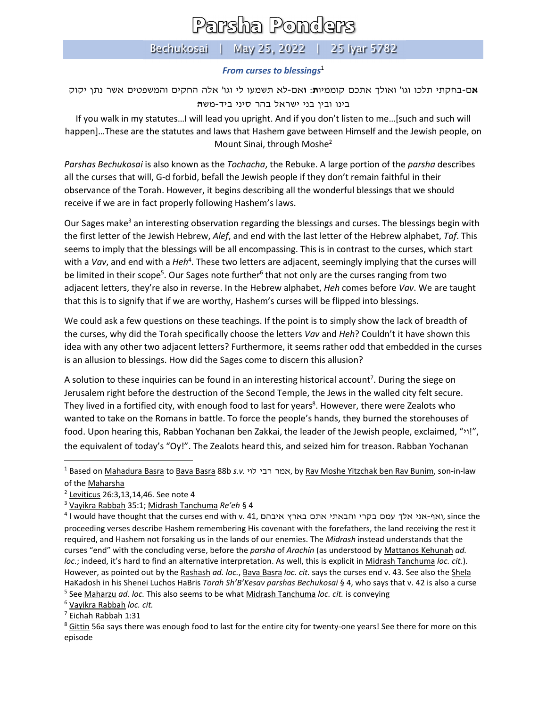## Parsha Ponders

## Bechukosai | May 25, 2022 | 25 Iyar 5782

## *From curses to blessings*<sup>1</sup>

**א**ם-בחקתי תלכו וגו' ואולך אתכם קוממיו**ת** : **ו**אם-לא תשמעו לי וגו' אלה החקים והמשפטים אשר נתן יקוק בינו ובין בני ישראל בהר סיני ביד-מש**ה** 

If you walk in my statutes…I will lead you upright. And if you don't listen to me…[such and such will happen]…These are the statutes and laws that Hashem gave between Himself and the Jewish people, on Mount Sinai, through Moshe<sup>2</sup>

*Parshas Bechukosai* is also known as the *Tochacha*, the Rebuke. A large portion of the *parsha* describes all the curses that will, G-d forbid, befall the Jewish people if they don't remain faithful in their observance of the Torah. However, it begins describing all the wonderful blessings that we should receive if we are in fact properly following Hashem's laws.

Our Sages make<sup>3</sup> an interesting observation regarding the blessings and curses. The blessings begin with the first letter of the Jewish Hebrew, *Alef*, and end with the last letter of the Hebrew alphabet, *Taf*. This seems to imply that the blessings will be all encompassing. This is in contrast to the curses, which start with a *Vav*, and end with a *Heh<sup>4</sup>*. These two letters are adjacent, seemingly implying that the curses will be limited in their scope<sup>5</sup>. Our Sages note further<sup>6</sup> that not only are the curses ranging from two adjacent letters, they're also in reverse. In the Hebrew alphabet, *Heh* comes before *Vav*. We are taught that this is to signify that if we are worthy, Hashem's curses will be flipped into blessings.

We could ask a few questions on these teachings. If the point is to simply show the lack of breadth of the curses, why did the Torah specifically choose the letters *Vav* and *Heh*? Couldn't it have shown this idea with any other two adjacent letters? Furthermore, it seems rather odd that embedded in the curses is an allusion to blessings. How did the Sages come to discern this allusion?

A solution to these inquiries can be found in an interesting historical account<sup>7</sup>. During the siege on Jerusalem right before the destruction of the Second Temple, the Jews in the walled city felt secure. They lived in a fortified city, with enough food to last for years<sup>8</sup>. However, there were Zealots who wanted to take on the Romans in battle. To force the people's hands, they burned the storehouses of food. Upon hearing this, Rabban Yochanan ben Zakkai, the leader of the Jewish people, exclaimed, "וי"!, the equivalent of today's "Oy!". The Zealots heard this, and seized him for treason. Rabban Yochanan

<sup>6</sup> Vayikra Rabbah *loc. cit.*

<sup>1</sup> Based on Mahadura Basra to Bava Basra 88b *s.v.* לוי רבי אמר, by Rav Moshe Yitzchak ben Rav Bunim, son-in-law of the Maharsha

<sup>2</sup> Leviticus 26:3,13,14,46. See note 4

<sup>3</sup> Vayikra Rabbah 35:1; Midrash Tanchuma *Re'eh* § 4

<sup>4</sup> I would have thought that the curses end with v. 41, איבהם בארץ איבהם, since the proceeding verses describe Hashem remembering His covenant with the forefathers, the land receiving the rest it required, and Hashem not forsaking us in the lands of our enemies. The *Midrash* instead understands that the curses "end" with the concluding verse, before the *parsha* of *Arachin* (as understood by Mattanos Kehunah *ad. loc.*; indeed, it's hard to find an alternative interpretation. As well, this is explicit in Midrash Tanchuma *loc. cit.*). However, as pointed out by the Rashash *ad. loc.*, Bava Basra *loc. cit.* says the curses end v. 43. See also the Shela HaKadosh in his Shenei Luchos HaBris *Torah Sh'B'Kesav parshas Bechukosai* § 4, who says that v. 42 is also a curse <sup>5</sup> See Maharzu *ad. loc.* This also seems to be what Midrash Tanchuma *loc. cit.* is conveying

<sup>7</sup> Eichah Rabbah 1:31

<sup>&</sup>lt;sup>8</sup> Gittin 56a says there was enough food to last for the entire city for twenty-one years! See there for more on this episode